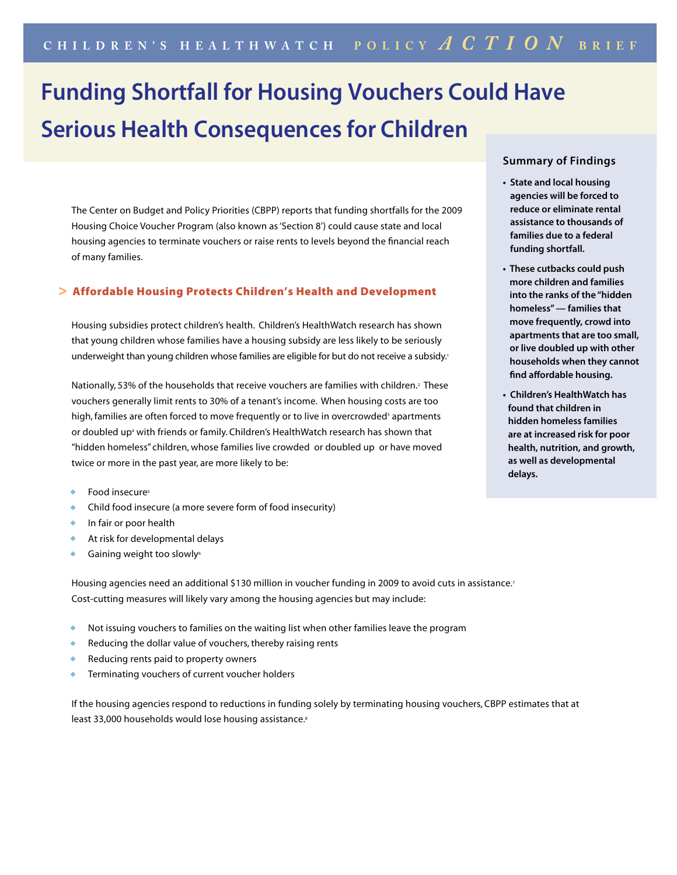# **Funding Shortfall for Housing Vouchers Could Have Serious Health Consequences for Children**

The Center on Budget and Policy Priorities (CBPP) reports that funding shortfalls for the 2009 Housing Choice Voucher Program (also known as 'Section 8') could cause state and local housing agencies to terminate vouchers or raise rents to levels beyond the financial reach of many families.

## **>** Affordable Housing Protects Children's Health and Development

Housing subsidies protect children's health. Children's HealthWatch research has shown that young children whose families have a housing subsidy are less likely to be seriously underweight than young children whose families are eligible for but do not receive a subsidy.<sup>1</sup>

Nationally, 53% of the households that receive vouchers are families with children.<sup>2</sup> These vouchers generally limit rents to 30% of a tenant's income. When housing costs are too high, families are often forced to move frequently or to live in overcrowded<sup>3</sup> apartments or doubled up<sup>4</sup> with friends or family. Children's HealthWatch research has shown that "hidden homeless" children, whose families live crowded or doubled up or have moved twice or more in the past year, are more likely to be:

- Food insecure<sup>5</sup>
- Child food insecure (a more severe form of food insecurity)
- In fair or poor health
- At risk for developmental delays
- Gaining weight too slowly<sup>6</sup>

Housing agencies need an additional \$130 million in voucher funding in 2009 to avoid cuts in assistance.<sup>7</sup> Cost-cutting measures will likely vary among the housing agencies but may include:

- Not issuing vouchers to families on the waiting list when other families leave the program
- Reducing the dollar value of vouchers, thereby raising rents
- Reducing rents paid to property owners
- Terminating vouchers of current voucher holders

If the housing agencies respond to reductions in funding solely by terminating housing vouchers, CBPP estimates that at least 33,000 households would lose housing assistance.<sup>8</sup>

## **Summary of Findings**

- **State and local housing agencies will be forced to reduce or eliminate rental assistance to thousands of families due to a federal funding shortfall.**
- **These cutbacks could push more children and families into the ranks of the "hidden homeless" — families that move frequently, crowd into apartments that are too small, or live doubled up with other households when they cannot find affordable housing.**
- **Children's HealthWatch has found that children in hidden homeless families are at increased risk for poor health, nutrition, and growth, as well as developmental delays.**